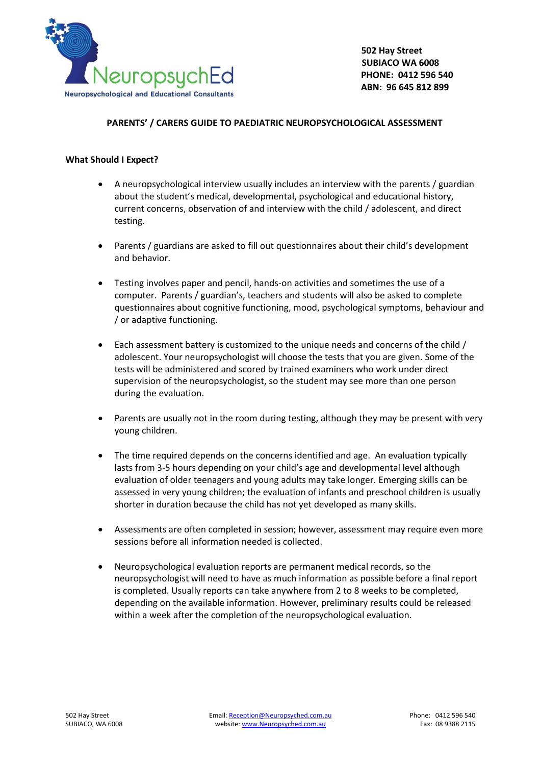

## **PARENTS' / CARERS GUIDE TO PAEDIATRIC NEUROPSYCHOLOGICAL ASSESSMENT**

## **What Should I Expect?**

- A neuropsychological interview usually includes an interview with the parents / guardian about the student's medical, developmental, psychological and educational history, current concerns, observation of and interview with the child / adolescent, and direct testing.
- Parents / guardians are asked to fill out questionnaires about their child's development and behavior.
- Testing involves paper and pencil, hands-on activities and sometimes the use of a computer. Parents / guardian's, teachers and students will also be asked to complete questionnaires about cognitive functioning, mood, psychological symptoms, behaviour and / or adaptive functioning.
- Each assessment battery is customized to the unique needs and concerns of the child / adolescent. Your neuropsychologist will choose the tests that you are given. Some of the tests will be administered and scored by trained examiners who work under direct supervision of the neuropsychologist, so the student may see more than one person during the evaluation.
- Parents are usually not in the room during testing, although they may be present with very young children.
- The time required depends on the concerns identified and age. An evaluation typically lasts from 3-5 hours depending on your child's age and developmental level although evaluation of older teenagers and young adults may take longer. Emerging skills can be assessed in very young children; the evaluation of infants and preschool children is usually shorter in duration because the child has not yet developed as many skills.
- Assessments are often completed in session; however, assessment may require even more sessions before all information needed is collected.
- Neuropsychological evaluation reports are permanent medical records, so the neuropsychologist will need to have as much information as possible before a final report is completed. Usually reports can take anywhere from 2 to 8 weeks to be completed, depending on the available information. However, preliminary results could be released within a week after the completion of the neuropsychological evaluation.